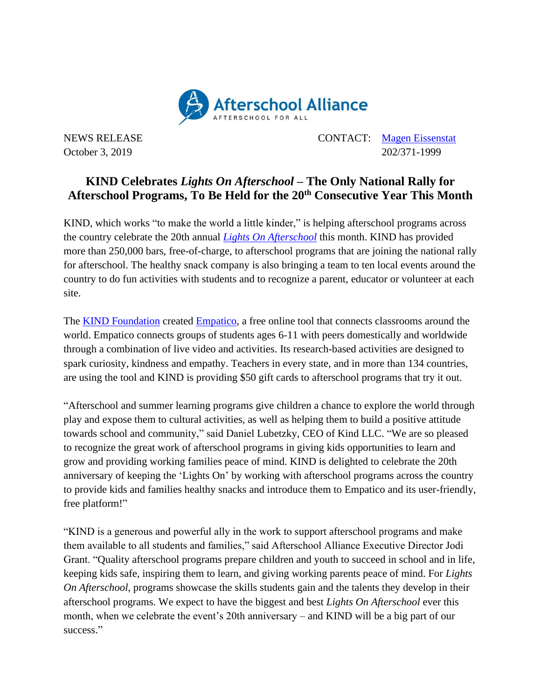

NEWS RELEASE CONTACT: [Magen Eissenstat](mailto:magen@prsolutionsdc.com) October 3, 2019 202/371-1999

## **KIND Celebrates** *Lights On Afterschool* **– The Only National Rally for Afterschool Programs, To Be Held for the 20th Consecutive Year This Month**

KIND, which works "to make the world a little kinder," is helping afterschool programs across the country celebrate the 20th annual *[Lights On Afterschool](http://www.afterschoolalliance.org/loa.cfm)* this month. KIND has provided more than 250,000 bars, free-of-charge, to afterschool programs that are joining the national rally for afterschool. The healthy snack company is also bringing a team to ten local events around the country to do fun activities with students and to recognize a parent, educator or volunteer at each site.

The [KIND Foundation](https://www.kindsnacks.com/foundation.html) created [Empatico,](http://www.empatico.org/) a free online tool that connects classrooms around the world. Empatico connects groups of students ages 6-11 with peers domestically and worldwide through a combination of live video and activities. Its research-based activities are designed to spark curiosity, kindness and empathy. Teachers in every state, and in more than 134 countries, are using the tool and KIND is providing \$50 gift cards to afterschool programs that try it out.

"Afterschool and summer learning programs give children a chance to explore the world through play and expose them to cultural activities, as well as helping them to build a positive attitude towards school and community," said Daniel Lubetzky, CEO of Kind LLC. "We are so pleased to recognize the great work of afterschool programs in giving kids opportunities to learn and grow and providing working families peace of mind. KIND is delighted to celebrate the 20th anniversary of keeping the 'Lights On' by working with afterschool programs across the country to provide kids and families healthy snacks and introduce them to Empatico and its user-friendly, free platform!"

"KIND is a generous and powerful ally in the work to support afterschool programs and make them available to all students and families," said Afterschool Alliance Executive Director Jodi Grant. "Quality afterschool programs prepare children and youth to succeed in school and in life, keeping kids safe, inspiring them to learn, and giving working parents peace of mind. For *Lights On Afterschool*, programs showcase the skills students gain and the talents they develop in their afterschool programs. We expect to have the biggest and best *Lights On Afterschool* ever this month, when we celebrate the event's 20th anniversary – and KIND will be a big part of our success."